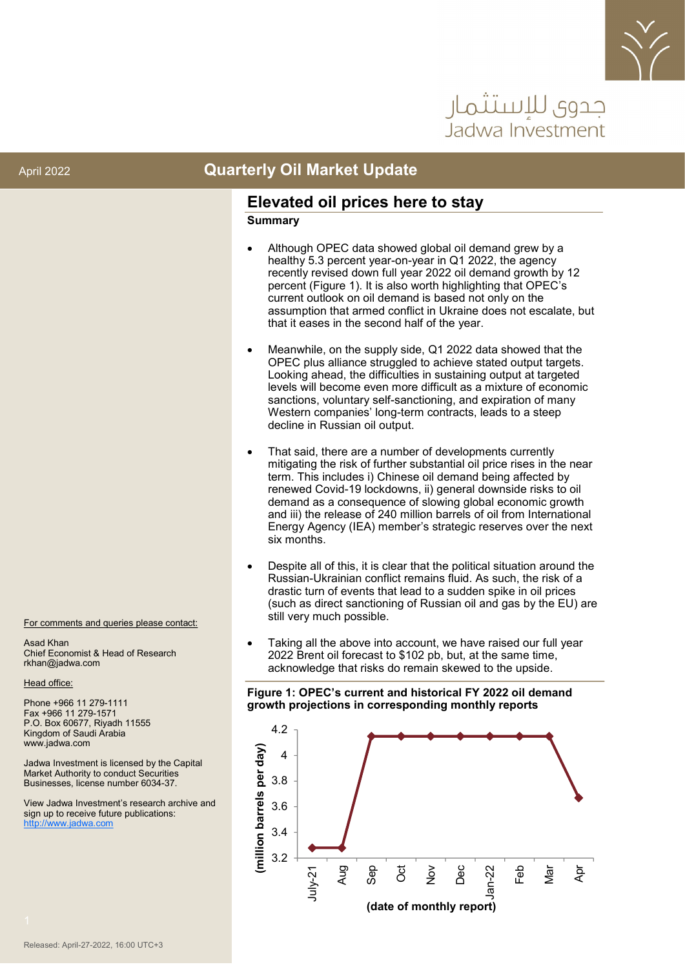

# حدوي للاستثمار Jadwa Investment

### April 2022 **Quarterly Oil Market Update**

### **Summary Elevated oil prices here to stay**

- Although OPEC data showed global oil demand grew by a healthy 5.3 percent year-on-year in Q1 2022, the agency recently revised down full year 2022 oil demand growth by 12 percent (Figure 1). It is also worth highlighting that OPEC's current outlook on oil demand is based not only on the assumption that armed conflict in Ukraine does not escalate, but that it eases in the second half of the year.
- Meanwhile, on the supply side, Q1 2022 data showed that the OPEC plus alliance struggled to achieve stated output targets. Looking ahead, the difficulties in sustaining output at targeted levels will become even more difficult as a mixture of economic sanctions, voluntary self-sanctioning, and expiration of many Western companies' long-term contracts, leads to a steep decline in Russian oil output.
- That said, there are a number of developments currently mitigating the risk of further substantial oil price rises in the near term. This includes i) Chinese oil demand being affected by renewed Covid-19 lockdowns, ii) general downside risks to oil demand as a consequence of slowing global economic growth and iii) the release of 240 million barrels of oil from International Energy Agency (IEA) member's strategic reserves over the next six months.
- Despite all of this, it is clear that the political situation around the Russian-Ukrainian conflict remains fluid. As such, the risk of a drastic turn of events that lead to a sudden spike in oil prices (such as direct sanctioning of Russian oil and gas by the EU) are still very much possible.
- Taking all the above into account, we have raised our full year 2022 Brent oil forecast to \$102 pb, but, at the same time, acknowledge that risks do remain skewed to the upside.

#### **Figure 1: OPEC's current and historical FY 2022 oil demand growth projections in corresponding monthly reports**



For comments and queries please contact:

Asad Khan Chief Economist & Head of Research rkhan@jadwa.com

Head office:

Phone +966 11 279-1111 Fax +966 11 279-1571 P.O. Box 60677, Riyadh 11555 Kingdom of Saudi Arabia www.jadwa.com

Jadwa Investment is licensed by the Capital Market Authority to conduct Securities Businesses, license number 6034-37.

View Jadwa Investment's research archive and sign up to receive future publications: [http://www.jadwa.com](http://www.jadwa.com/en/section/research)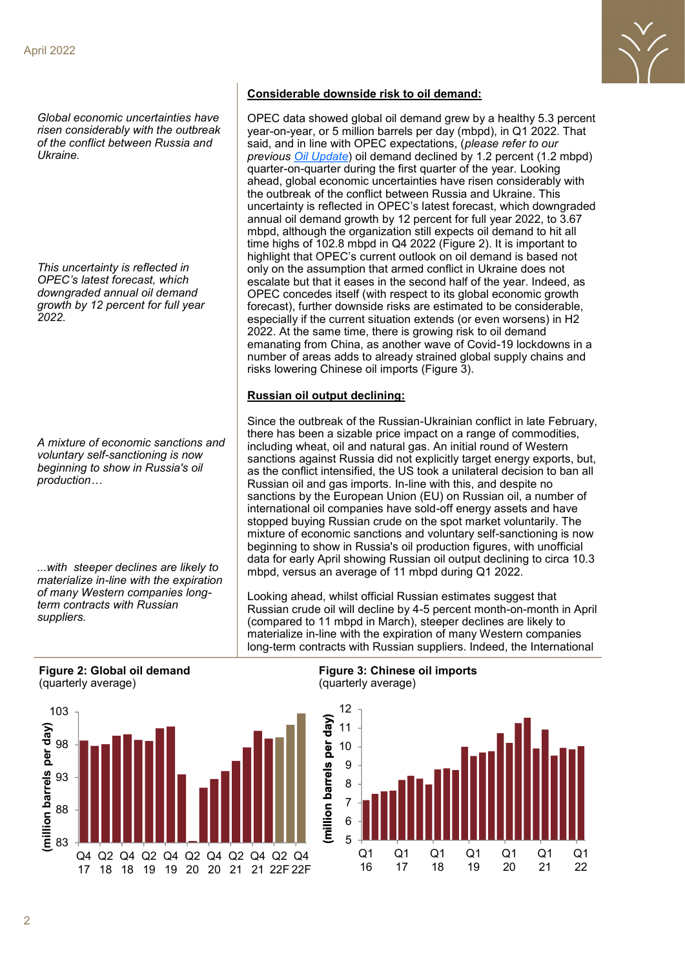*Global economic uncertainties have risen considerably with the outbreak of the conflict between Russia and Ukraine.* 

*This uncertainty is reflected in OPEC's latest forecast, which downgraded annual oil demand growth by 12 percent for full year 2022.* 

*A mixture of economic sanctions and voluntary self-sanctioning is now beginning to show in Russia's oil production…*

*...with steeper declines are likely to materialize in-line with the expiration of many Western companies longterm contracts with Russian suppliers.* 

**Figure 2: Global oil demand**

(quarterly average)

#### **Considerable downside risk to oil demand:**

OPEC data showed global oil demand grew by a healthy 5.3 percent year-on-year, or 5 million barrels per day (mbpd), in Q1 2022. That said, and in line with OPEC expectations, (*please refer to our previous [Oil Update](https://jadwa.com/en/node/14603)*) oil demand declined by 1.2 percent (1.2 mbpd) quarter-on-quarter during the first quarter of the year. Looking ahead, global economic uncertainties have risen considerably with the outbreak of the conflict between Russia and Ukraine. This uncertainty is reflected in OPEC's latest forecast, which downgraded annual oil demand growth by 12 percent for full year 2022, to 3.67 mbpd, although the organization still expects oil demand to hit all time highs of 102.8 mbpd in Q4 2022 (Figure 2). It is important to highlight that OPEC's current outlook on oil demand is based not only on the assumption that armed conflict in Ukraine does not escalate but that it eases in the second half of the year. Indeed, as OPEC concedes itself (with respect to its global economic growth forecast), further downside risks are estimated to be considerable, especially if the current situation extends (or even worsens) in H2 2022. At the same time, there is growing risk to oil demand emanating from China, as another wave of Covid-19 lockdowns in a number of areas adds to already strained global supply chains and risks lowering Chinese oil imports (Figure 3).

#### **Russian oil output declining:**

Since the outbreak of the Russian-Ukrainian conflict in late February, there has been a sizable price impact on a range of commodities, including wheat, oil and natural gas. An initial round of Western sanctions against Russia did not explicitly target energy exports, but, as the conflict intensified, the US took a unilateral decision to ban all Russian oil and gas imports. In-line with this, and despite no sanctions by the European Union (EU) on Russian oil, a number of international oil companies have sold-off energy assets and have stopped buying Russian crude on the spot market voluntarily. The mixture of economic sanctions and voluntary self-sanctioning is now beginning to show in Russia's oil production figures, with unofficial data for early April showing Russian oil output declining to circa 10.3 mbpd, versus an average of 11 mbpd during Q1 2022.

Looking ahead, whilst official Russian estimates suggest that Russian crude oil will decline by 4-5 percent month-on-month in April (compared to 11 mbpd in March), steeper declines are likely to materialize in-line with the expiration of many Western companies long-term contracts with Russian suppliers. Indeed, the International



#### **Figure 3: Chinese oil imports** (quarterly average)

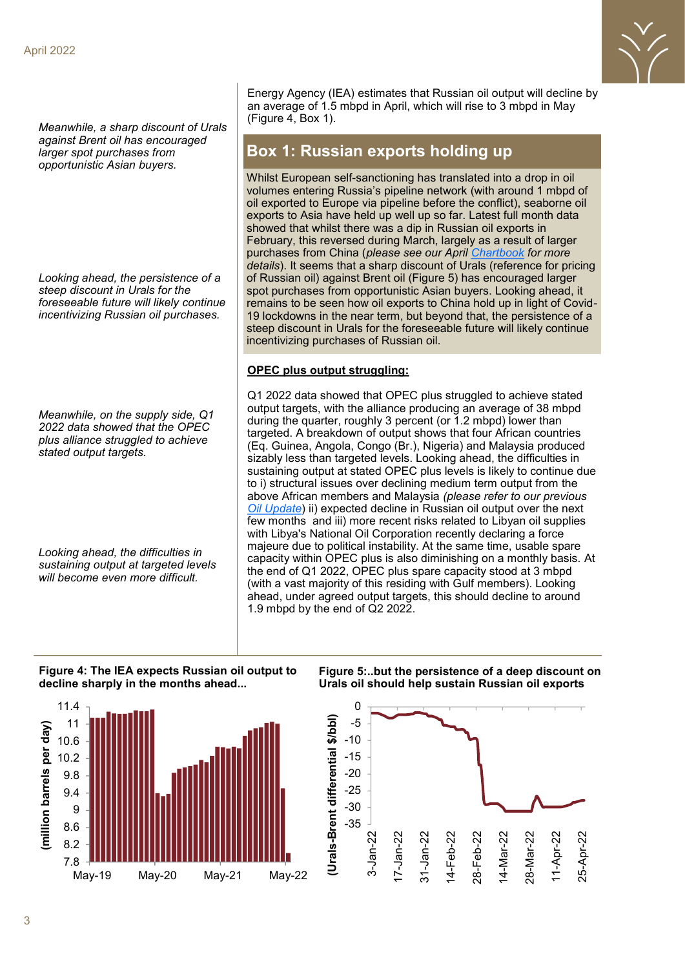*Meanwhile, a sharp discount of Urals against Brent oil has encouraged larger spot purchases from opportunistic Asian buyers.* 

*Looking ahead, the persistence of a steep discount in Urals for the foreseeable future will likely continue incentivizing Russian oil purchases.*

*Meanwhile, on the supply side, Q1 2022 data showed that the OPEC plus alliance struggled to achieve stated output targets.* 

*Looking ahead, the difficulties in sustaining output at targeted levels will become even more difficult.*

Energy Agency (IEA) estimates that Russian oil output will decline by an average of 1.5 mbpd in April, which will rise to 3 mbpd in May (Figure 4, Box 1).

# **Box 1: Russian exports holding up**

Whilst European self-sanctioning has translated into a drop in oil volumes entering Russia's pipeline network (with around 1 mbpd of oil exported to Europe via pipeline before the conflict), seaborne oil exports to Asia have held up well up so far. Latest full month data showed that whilst there was a dip in Russian oil exports in February, this reversed during March, largely as a result of larger purchases from China (*please see our April [Chartbook](https://jadwa.com/sites/default/files/2022-04/Chartbook%20-%20April%202022.pdf) for more details*). It seems that a sharp discount of Urals (reference for pricing of Russian oil) against Brent oil (Figure 5) has encouraged larger spot purchases from opportunistic Asian buyers. Looking ahead, it remains to be seen how oil exports to China hold up in light of Covid-19 lockdowns in the near term, but beyond that, the persistence of a steep discount in Urals for the foreseeable future will likely continue incentivizing purchases of Russian oil.

### **OPEC plus output struggling:**

Q1 2022 data showed that OPEC plus struggled to achieve stated output targets, with the alliance producing an average of 38 mbpd during the quarter, roughly 3 percent (or 1.2 mbpd) lower than targeted. A breakdown of output shows that four African countries (Eq. Guinea, Angola, Congo (Br.), Nigeria) and Malaysia produced sizably less than targeted levels. Looking ahead, the difficulties in sustaining output at stated OPEC plus levels is likely to continue due to i) structural issues over declining medium term output from the above African members and Malaysia *(please refer to our previous [Oil Update](https://jadwa.com/en/node/14603)*) ii) expected decline in Russian oil output over the next few months and iii) more recent risks related to Libyan oil supplies with Libya's National Oil Corporation recently declaring a force majeure due to political instability. At the same time, usable spare capacity within OPEC plus is also diminishing on a monthly basis. At the end of Q1 2022, OPEC plus spare capacity stood at 3 mbpd (with a vast majority of this residing with Gulf members). Looking ahead, under agreed output targets, this should decline to around 1.9 mbpd by the end of Q2 2022.

### **Figure 4: The IEA expects Russian oil output to decline sharply in the months ahead...**



#### **Figure 5:..but the persistence of a deep discount on Urals oil should help sustain Russian oil exports**

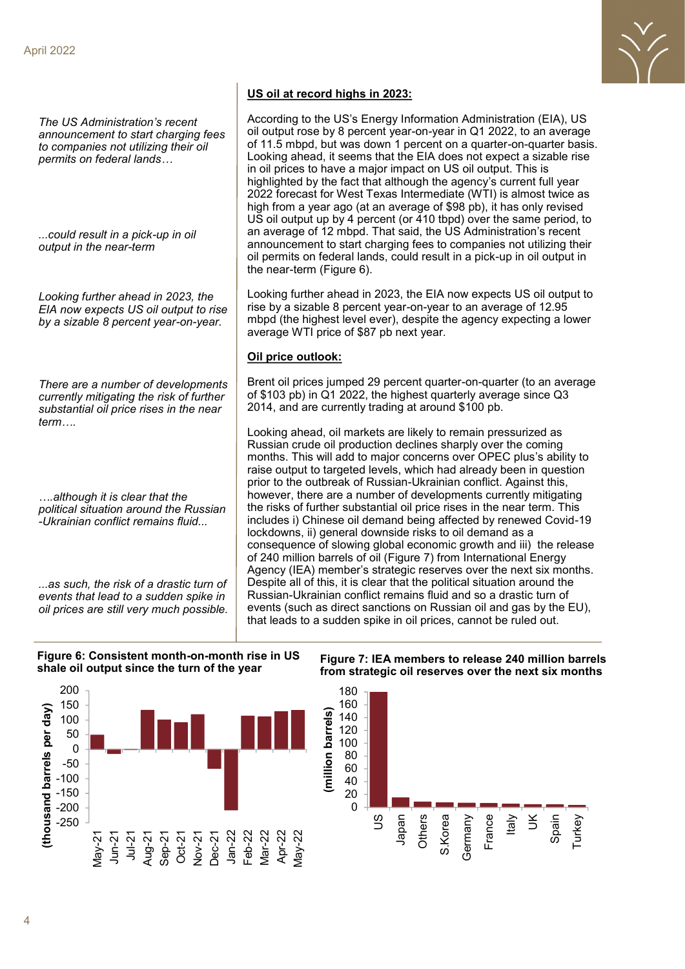*The US Administration's recent announcement to start charging fees to companies not utilizing their oil permits on federal lands…*

*...could result in a pick-up in oil output in the near-term*

*Looking further ahead in 2023, the EIA now expects US oil output to rise by a sizable 8 percent year-on-year.* 

*There are a number of developments currently mitigating the risk of further substantial oil price rises in the near term….* 

*….although it is clear that the political situation around the Russian -Ukrainian conflict remains fluid...* 

*...as such, the risk of a drastic turn of events that lead to a sudden spike in oil prices are still very much possible.* 

#### **US oil at record highs in 2023:**

According to the US's Energy Information Administration (EIA), US oil output rose by 8 percent year-on-year in Q1 2022, to an average of 11.5 mbpd, but was down 1 percent on a quarter-on-quarter basis. Looking ahead, it seems that the EIA does not expect a sizable rise in oil prices to have a major impact on US oil output. This is highlighted by the fact that although the agency's current full year 2022 forecast for West Texas Intermediate (WTI) is almost twice as high from a year ago (at an average of \$98 pb), it has only revised US oil output up by 4 percent (or 410 tbpd) over the same period, to an average of 12 mbpd. That said, the US Administration's recent announcement to start charging fees to companies not utilizing their oil permits on federal lands, could result in a pick-up in oil output in the near-term (Figure 6).

Looking further ahead in 2023, the EIA now expects US oil output to rise by a sizable 8 percent year-on-year to an average of 12.95 mbpd (the highest level ever), despite the agency expecting a lower average WTI price of \$87 pb next year.

#### **Oil price outlook:**

Brent oil prices jumped 29 percent quarter-on-quarter (to an average of \$103 pb) in Q1 2022, the highest quarterly average since Q3 2014, and are currently trading at around \$100 pb.

Looking ahead, oil markets are likely to remain pressurized as Russian crude oil production declines sharply over the coming months. This will add to major concerns over OPEC plus's ability to raise output to targeted levels, which had already been in question prior to the outbreak of Russian-Ukrainian conflict. Against this, however, there are a number of developments currently mitigating the risks of further substantial oil price rises in the near term. This includes i) Chinese oil demand being affected by renewed Covid-19 lockdowns, ii) general downside risks to oil demand as a consequence of slowing global economic growth and iii) the release of 240 million barrels of oil (Figure 7) from International Energy Agency (IEA) member's strategic reserves over the next six months. Despite all of this, it is clear that the political situation around the Russian-Ukrainian conflict remains fluid and so a drastic turn of events (such as direct sanctions on Russian oil and gas by the EU), that leads to a sudden spike in oil prices, cannot be ruled out.

**Figure 6: Consistent month-on-month rise in US shale oil output since the turn of the year** 



**Figure 7: IEA members to release 240 million barrels from strategic oil reserves over the next six months** 

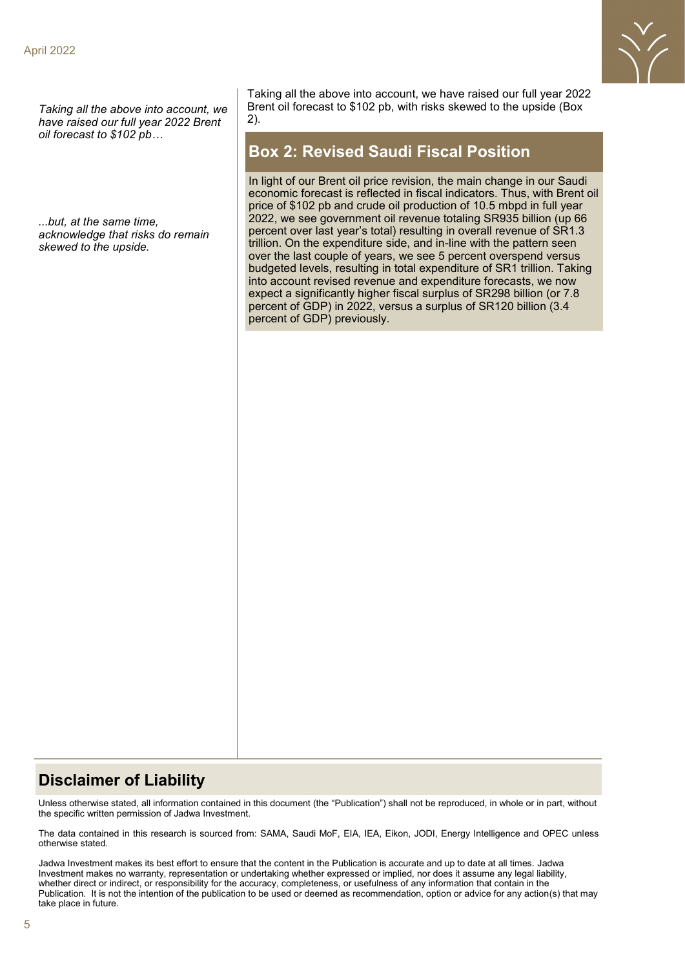*Taking all the above into account, we have raised our full year 2022 Brent oil forecast to \$102 pb…*

*...but, at the same time, acknowledge that risks do remain skewed to the upside.* 

Taking all the above into account, we have raised our full year 2022 Brent oil forecast to \$102 pb, with risks skewed to the upside (Box 2).

 $\sum'$ 

# **Box 2: Revised Saudi Fiscal Position**

In light of our Brent oil price revision, the main change in our Saudi economic forecast is reflected in fiscal indicators. Thus, with Brent oil price of \$102 pb and crude oil production of 10.5 mbpd in full year 2022, we see government oil revenue totaling SR935 billion (up 66 percent over last year's total) resulting in overall revenue of SR1.3 trillion. On the expenditure side, and in-line with the pattern seen over the last couple of years, we see 5 percent overspend versus budgeted levels, resulting in total expenditure of SR1 trillion. Taking into account revised revenue and expenditure forecasts, we now expect a significantly higher fiscal surplus of SR298 billion (or 7.8 percent of GDP) in 2022, versus a surplus of SR120 billion (3.4 percent of GDP) previously.

### **Disclaimer of Liability**

Unless otherwise stated, all information contained in this document (the "Publication") shall not be reproduced, in whole or in part, without the specific written permission of Jadwa Investment.

The data contained in this research is sourced from: SAMA, Saudi MoF, EIA, IEA, Eikon, JODI, Energy Intelligence and OPEC unless otherwise stated.

Jadwa Investment makes its best effort to ensure that the content in the Publication is accurate and up to date at all times. Jadwa Investment makes no warranty, representation or undertaking whether expressed or implied, nor does it assume any legal liability, whether direct or indirect, or responsibility for the accuracy, completeness, or usefulness of any information that contain in the Publication. It is not the intention of the publication to be used or deemed as recommendation, option or advice for any action(s) that may take place in future.